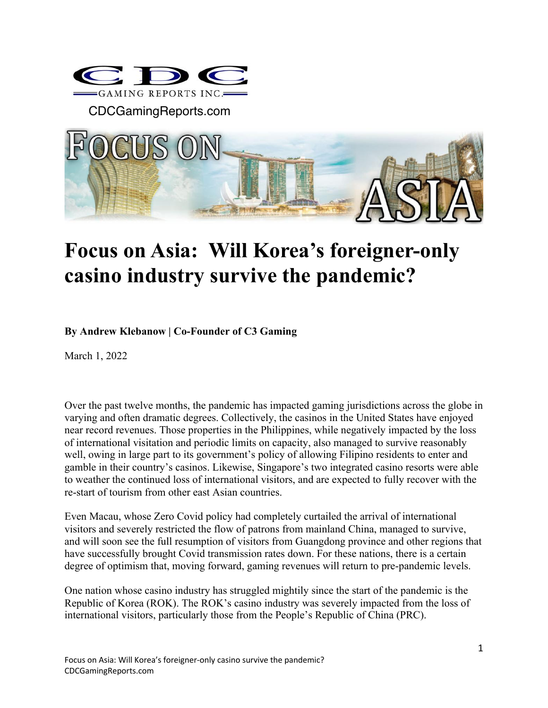

CDCGamingReports.com



## **Focus on Asia: Will Korea's foreigner-only casino industry survive the pandemic?**

**By Andrew Klebanow | Co-Founder of C3 Gaming**

March 1, 2022

Over the past twelve months, the pandemic has impacted gaming jurisdictions across the globe in varying and often dramatic degrees. Collectively, the casinos in the United States have enjoyed near record revenues. Those properties in the Philippines, while negatively impacted by the loss of international visitation and periodic limits on capacity, also managed to survive reasonably well, owing in large part to its government's policy of allowing Filipino residents to enter and gamble in their country's casinos. Likewise, Singapore's two integrated casino resorts were able to weather the continued loss of international visitors, and are expected to fully recover with the re-start of tourism from other east Asian countries.

Even Macau, whose Zero Covid policy had completely curtailed the arrival of international visitors and severely restricted the flow of patrons from mainland China, managed to survive, and will soon see the full resumption of visitors from Guangdong province and other regions that have successfully brought Covid transmission rates down. For these nations, there is a certain degree of optimism that, moving forward, gaming revenues will return to pre-pandemic levels.

One nation whose casino industry has struggled mightily since the start of the pandemic is the Republic of Korea (ROK). The ROK's casino industry was severely impacted from the loss of international visitors, particularly those from the People's Republic of China (PRC).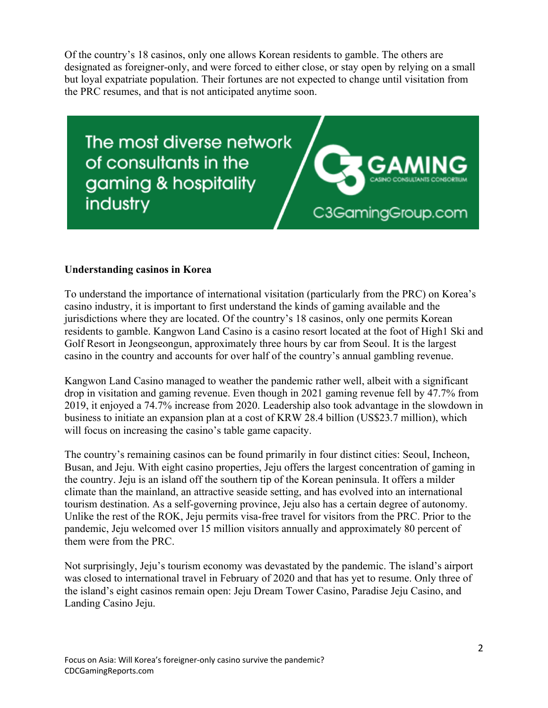Of the country's 18 casinos, only one allows Korean residents to gamble. The others are designated as foreigner-only, and were forced to either close, or stay open by relying on a small but loyal expatriate population. Their fortunes are not expected to change until visitation from the PRC resumes, and that is not anticipated anytime soon.

The most diverse network of consultants in the gaming & hospitality industry

C3GamingGroup.com

## **Understanding casinos in Korea**

To understand the importance of international visitation (particularly from the PRC) on Korea's casino industry, it is important to first understand the kinds of gaming available and the jurisdictions where they are located. Of the country's 18 casinos, only one permits Korean residents to gamble. Kangwon Land Casino is a casino resort located at the foot of High1 Ski and Golf Resort in Jeongseongun, approximately three hours by car from Seoul. It is the largest casino in the country and accounts for over half of the country's annual gambling revenue.

Kangwon Land Casino managed to weather the pandemic rather well, albeit with a significant drop in visitation and gaming revenue. Even though in 2021 gaming revenue fell by 47.7% from 2019, it enjoyed a 74.7% increase from 2020. Leadership also took advantage in the slowdown in business to initiate an expansion plan at a cost of KRW 28.4 billion (US\$23.7 million), which will focus on increasing the casino's table game capacity.

The country's remaining casinos can be found primarily in four distinct cities: Seoul, Incheon, Busan, and Jeju. With eight casino properties, Jeju offers the largest concentration of gaming in the country. Jeju is an island off the southern tip of the Korean peninsula. It offers a milder climate than the mainland, an attractive seaside setting, and has evolved into an international tourism destination. As a self-governing province, Jeju also has a certain degree of autonomy. Unlike the rest of the ROK, Jeju permits visa-free travel for visitors from the PRC. Prior to the pandemic, Jeju welcomed over 15 million visitors annually and approximately 80 percent of them were from the PRC.

Not surprisingly, Jeju's tourism economy was devastated by the pandemic. The island's airport was closed to international travel in February of 2020 and that has yet to resume. Only three of the island's eight casinos remain open: Jeju Dream Tower Casino, Paradise Jeju Casino, and Landing Casino Jeju.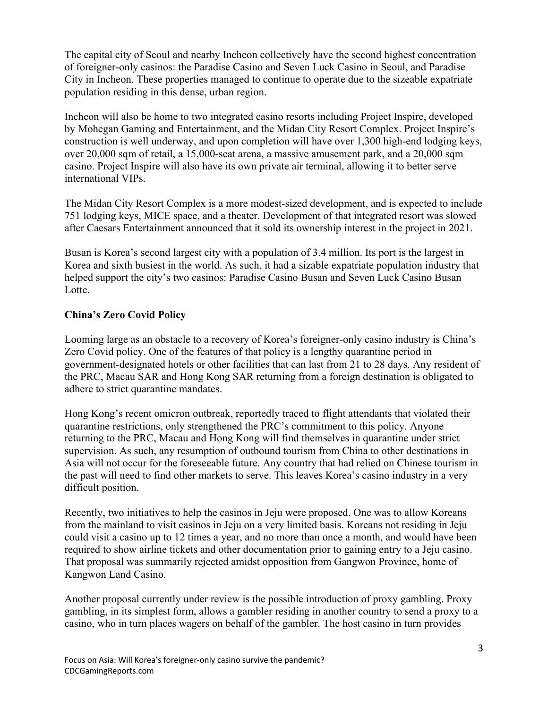The capital city of Seoul and nearby Incheon collectively have the second highest concentration of foreigner-only casinos: the Paradise Casino and Seven Luck Casino in Seoul, and Paradise City in Incheon. These properties managed to continue to operate due to the sizeable expatriate population residing in this dense, urban region.

Incheon will also be home to two integrated casino resorts including Project Inspire, developed by Mohegan Gaming and Entertainment, and the Midan City Resort Complex. Project Inspire's construction is well underway, and upon completion will have over 1,300 high-end lodging keys, over 20,000 sqm of retail, a 15,000-seat arena, a massive amusement park, and a 20,000 sqm casino. Project Inspire will also have its own private air terminal, allowing it to better serve international VIPs.

The Midan City Resort Complex is a more modest-sized development, and is expected to include 751 lodging keys, MICE space, and a theater. Development of that integrated resort was slowed after Caesars Entertainment announced that it sold its ownership interest in the project in 2021.

Busan is Korea's second largest city with a population of 3.4 million. Its port is the largest in Korea and sixth busiest in the world. As such, it had a sizable expatriate population industry that helped support the city's two casinos: Paradise Casino Busan and Seven Luck Casino Busan Lotte.

## **China's Zero Covid Policy**

Looming large as an obstacle to a recovery of Korea's foreigner-only casino industry is China's Zero Covid policy. One of the features of that policy is a lengthy quarantine period in government-designated hotels or other facilities that can last from 21 to 28 days. Any resident of the PRC, Macau SAR and Hong Kong SAR returning from a foreign destination is obligated to adhere to strict quarantine mandates.

Hong Kong's recent omicron outbreak, reportedly traced to flight attendants that violated their quarantine restrictions, only strengthened the PRC's commitment to this policy. Anyone returning to the PRC, Macau and Hong Kong will find themselves in quarantine under strict supervision. As such, any resumption of outbound tourism from China to other destinations in Asia will not occur for the foreseeable future. Any country that had relied on Chinese tourism in the past will need to find other markets to serve. This leaves Korea's casino industry in a very difficult position.

Recently, two initiatives to help the casinos in Jeju were proposed. One was to allow Koreans from the mainland to visit casinos in Jeju on a very limited basis. Koreans not residing in Jeju could visit a casino up to 12 times a year, and no more than once a month, and would have been required to show airline tickets and other documentation prior to gaining entry to a Jeju casino. That proposal was summarily rejected amidst opposition from Gangwon Province, home of Kangwon Land Casino.

Another proposal currently under review is the possible introduction of proxy gambling. Proxy gambling, in its simplest form, allows a gambler residing in another country to send a proxy to a casino, who in turn places wagers on behalf of the gambler. The host casino in turn provides